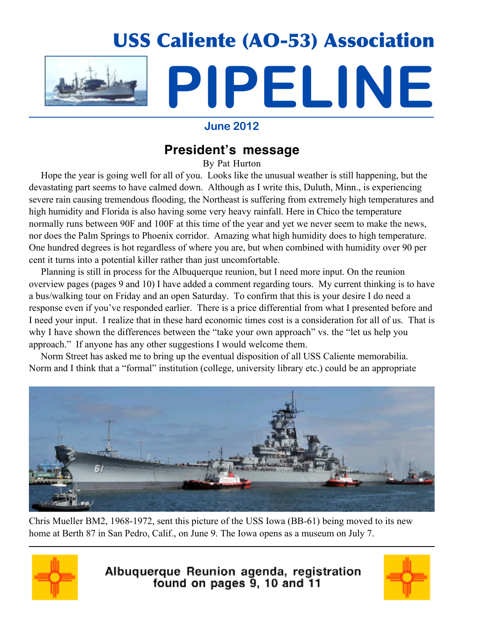

### **June 2012**

## **President's message**

By Pat Hurton

 Hope the year is going well for all of you. Looks like the unusual weather is still happening, but the devastating part seems to have calmed down. Although as I write this, Duluth, Minn., is experiencing severe rain causing tremendous flooding, the Northeast is suffering from extremely high temperatures and high humidity and Florida is also having some very heavy rainfall. Here in Chico the temperature normally runs between 90F and 100F at this time of the year and yet we never seem to make the news, nor does the Palm Springs to Phoenix corridor. Amazing what high humidity does to high temperature. One hundred degrees is hot regardless of where you are, but when combined with humidity over 90 per cent it turns into a potential killer rather than just uncomfortable.

 Planning is still in process for the Albuquerque reunion, but I need more input. On the reunion overview pages (pages 9 and 10) I have added a comment regarding tours. My current thinking is to have a bus/walking tour on Friday and an open Saturday. To confirm that this is your desire I do need a response even if you've responded earlier. There is a price differential from what I presented before and I need your input. I realize that in these hard economic times cost is a consideration for all of us. That is why I have shown the differences between the "take your own approach" vs. the "let us help you approach." If anyone has any other suggestions I would welcome them.

 Norm Street has asked me to bring up the eventual disposition of all USS Caliente memorabilia. Norm and I think that a "formal" institution (college, university library etc.) could be an appropriate



Chris Mueller BM2, 1968-1972, sent this picture of the USS Iowa (BB-61) being moved to its new home at Berth 87 in San Pedro, Calif., on June 9. The Iowa opens as a museum on July 7.



Albuquerque Reunion agenda, registration<br>found on pages 9, 10 and 11

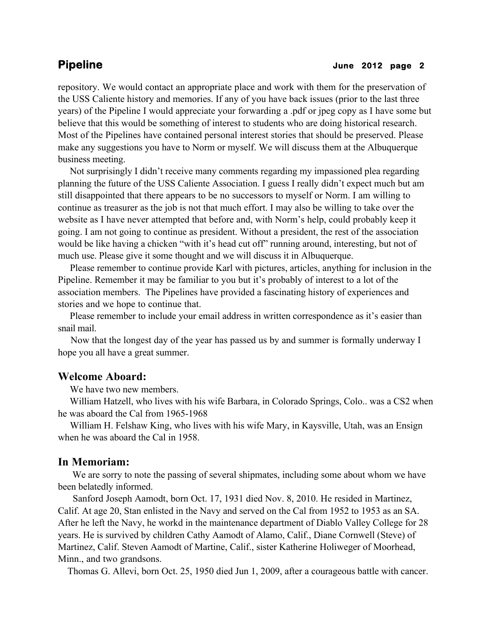repository. We would contact an appropriate place and work with them for the preservation of the USS Caliente history and memories. If any of you have back issues (prior to the last three years) of the Pipeline I would appreciate your forwarding a .pdf or jpeg copy as I have some but believe that this would be something of interest to students who are doing historical research. Most of the Pipelines have contained personal interest stories that should be preserved. Please make any suggestions you have to Norm or myself. We will discuss them at the Albuquerque business meeting.

 Not surprisingly I didn't receive many comments regarding my impassioned plea regarding planning the future of the USS Caliente Association. I guess I really didn't expect much but am still disappointed that there appears to be no successors to myself or Norm. I am willing to continue as treasurer as the job is not that much effort. I may also be willing to take over the website as I have never attempted that before and, with Norm's help, could probably keep it going. I am not going to continue as president. Without a president, the rest of the association would be like having a chicken "with it's head cut off" running around, interesting, but not of much use. Please give it some thought and we will discuss it in Albuquerque.

 Please remember to continue provide Karl with pictures, articles, anything for inclusion in the Pipeline. Remember it may be familiar to you but it's probably of interest to a lot of the association members. The Pipelines have provided a fascinating history of experiences and stories and we hope to continue that.

 Please remember to include your email address in written correspondence as it's easier than snail mail.

 Now that the longest day of the year has passed us by and summer is formally underway I hope you all have a great summer.

### **Welcome Aboard:**

We have two new members.

 William Hatzell, who lives with his wife Barbara, in Colorado Springs, Colo.. was a CS2 when he was aboard the Cal from 1965-1968

 William H. Felshaw King, who lives with his wife Mary, in Kaysville, Utah, was an Ensign when he was aboard the Cal in 1958.

### **In Memoriam:**

We are sorry to note the passing of several shipmates, including some about whom we have been belatedly informed.

 Sanford Joseph Aamodt, born Oct. 17, 1931 died Nov. 8, 2010. He resided in Martinez, Calif. At age 20, Stan enlisted in the Navy and served on the Cal from 1952 to 1953 as an SA. After he left the Navy, he workd in the maintenance department of Diablo Valley College for 28 years. He is survived by children Cathy Aamodt of Alamo, Calif., Diane Cornwell (Steve) of Martinez, Calif. Steven Aamodt of Martine, Calif., sister Katherine Holiweger of Moorhead, Minn., and two grandsons.

Thomas G. Allevi, born Oct. 25, 1950 died Jun 1, 2009, after a courageous battle with cancer.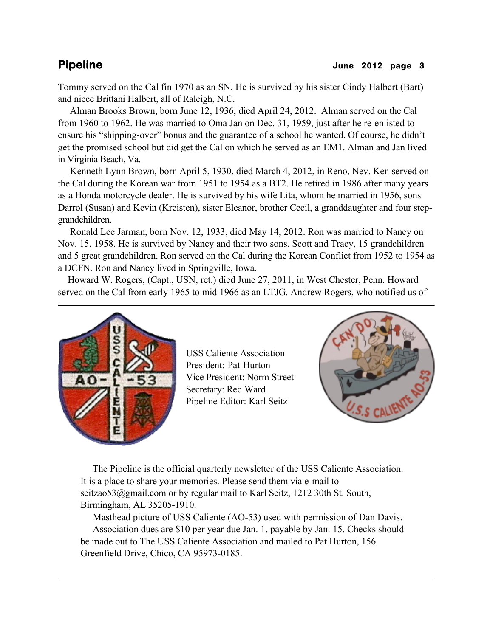Tommy served on the Cal fin 1970 as an SN. He is survived by his sister Cindy Halbert (Bart) and niece Brittani Halbert, all of Raleigh, N.C.

 Alman Brooks Brown, born June 12, 1936, died April 24, 2012. Alman served on the Cal from 1960 to 1962. He was married to Oma Jan on Dec. 31, 1959, just after he re-enlisted to ensure his "shipping-over" bonus and the guarantee of a school he wanted. Of course, he didn't get the promised school but did get the Cal on which he served as an EM1. Alman and Jan lived in Virginia Beach, Va.

 Kenneth Lynn Brown, born April 5, 1930, died March 4, 2012, in Reno, Nev. Ken served on the Cal during the Korean war from 1951 to 1954 as a BT2. He retired in 1986 after many years as a Honda motorcycle dealer. He is survived by his wife Lita, whom he married in 1956, sons Darrol (Susan) and Kevin (Kreisten), sister Eleanor, brother Cecil, a granddaughter and four stepgrandchildren.

 Ronald Lee Jarman, born Nov. 12, 1933, died May 14, 2012. Ron was married to Nancy on Nov. 15, 1958. He is survived by Nancy and their two sons, Scott and Tracy, 15 grandchildren and 5 great grandchildren. Ron served on the Cal during the Korean Conflict from 1952 to 1954 as a DCFN. Ron and Nancy lived in Springville, Iowa.

 Howard W. Rogers, (Capt., USN, ret.) died June 27, 2011, in West Chester, Penn. Howard served on the Cal from early 1965 to mid 1966 as an LTJG. Andrew Rogers, who notified us of



USS Caliente Association President: Pat Hurton Vice President: Norm Street Secretary: Red Ward Pipeline Editor: Karl Seitz



 The Pipeline is the official quarterly newsletter of the USS Caliente Association. It is a place to share your memories. Please send them via e-mail to seitzao53@gmail.com or by regular mail to Karl Seitz, 1212 30th St. South, Birmingham, AL 35205-1910.

 Masthead picture of USS Caliente (AO-53) used with permission of Dan Davis. Association dues are \$10 per year due Jan. 1, payable by Jan. 15. Checks should be made out to The USS Caliente Association and mailed to Pat Hurton, 156 Greenfield Drive, Chico, CA 95973-0185.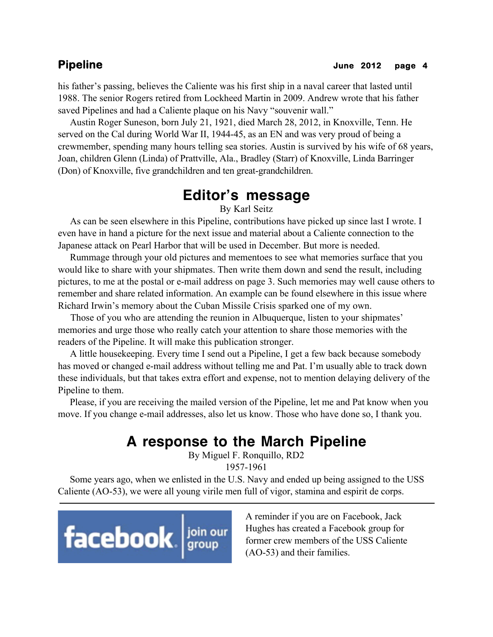his father's passing, believes the Caliente was his first ship in a naval career that lasted until 1988. The senior Rogers retired from Lockheed Martin in 2009. Andrew wrote that his father saved Pipelines and had a Caliente plaque on his Navy "souvenir wall."

 Austin Roger Suneson, born July 21, 1921, died March 28, 2012, in Knoxville, Tenn. He served on the Cal during World War II, 1944-45, as an EN and was very proud of being a crewmember, spending many hours telling sea stories. Austin is survived by his wife of 68 years, Joan, children Glenn (Linda) of Prattville, Ala., Bradley (Starr) of Knoxville, Linda Barringer (Don) of Knoxville, five grandchildren and ten great-grandchildren.

# **Editor's message**

By Karl Seitz

 As can be seen elsewhere in this Pipeline, contributions have picked up since last I wrote. I even have in hand a picture for the next issue and material about a Caliente connection to the Japanese attack on Pearl Harbor that will be used in December. But more is needed.

 Rummage through your old pictures and mementoes to see what memories surface that you would like to share with your shipmates. Then write them down and send the result, including pictures, to me at the postal or e-mail address on page 3. Such memories may well cause others to remember and share related information. An example can be found elsewhere in this issue where Richard Irwin's memory about the Cuban Missile Crisis sparked one of my own.

 Those of you who are attending the reunion in Albuquerque, listen to your shipmates' memories and urge those who really catch your attention to share those memories with the readers of the Pipeline. It will make this publication stronger.

 A little housekeeping. Every time I send out a Pipeline, I get a few back because somebody has moved or changed e-mail address without telling me and Pat. I'm usually able to track down these individuals, but that takes extra effort and expense, not to mention delaying delivery of the Pipeline to them.

 Please, if you are receiving the mailed version of the Pipeline, let me and Pat know when you move. If you change e-mail addresses, also let us know. Those who have done so, I thank you.

## **A response to the March Pipeline**

By Miguel F. Ronquillo, RD2 1957-1961

 Some years ago, when we enlisted in the U.S. Navy and ended up being assigned to the USS Caliente (AO-53), we were all young virile men full of vigor, stamina and espirit de corps.



A reminder if you are on Facebook, Jack Hughes has created a Facebook group for former crew members of the USS Caliente (AO-53) and their families.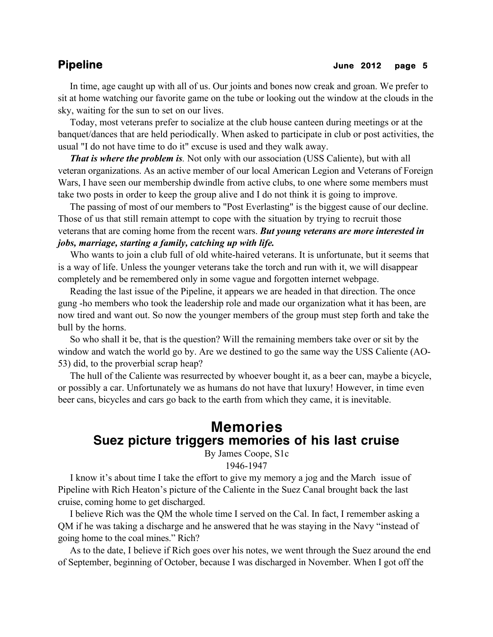### **Pipeline** June 2012 page 5

 In time, age caught up with all of us. Our joints and bones now creak and groan. We prefer to sit at home watching our favorite game on the tube or looking out the window at the clouds in the sky, waiting for the sun to set on our lives.

 Today, most veterans prefer to socialize at the club house canteen during meetings or at the banquet/dances that are held periodically. When asked to participate in club or post activities, the usual "I do not have time to do it" excuse is used and they walk away.

 *That is where the problem is.* Not only with our association (USS Caliente), but with all veteran organizations. As an active member of our local American Legion and Veterans of Foreign Wars, I have seen our membership dwindle from active clubs, to one where some members must take two posts in order to keep the group alive and I do not think it is going to improve.

 The passing of most of our members to "Post Everlasting" is the biggest cause of our decline. Those of us that still remain attempt to cope with the situation by trying to recruit those veterans that are coming home from the recent wars. *But young veterans are more interested in jobs, marriage, starting a family, catching up with life.*

 Who wants to join a club full of old white-haired veterans. It is unfortunate, but it seems that is a way of life. Unless the younger veterans take the torch and run with it, we will disappear completely and be remembered only in some vague and forgotten internet webpage.

 Reading the last issue of the Pipeline, it appears we are headed in that direction. The once gung -ho members who took the leadership role and made our organization what it has been, are now tired and want out. So now the younger members of the group must step forth and take the bull by the horns.

 So who shall it be, that is the question? Will the remaining members take over or sit by the window and watch the world go by. Are we destined to go the same way the USS Caliente (AO-53) did, to the proverbial scrap heap?

 The hull of the Caliente was resurrected by whoever bought it, as a beer can, maybe a bicycle, or possibly a car. Unfortunately we as humans do not have that luxury! However, in time even beer cans, bicycles and cars go back to the earth from which they came, it is inevitable.

## **Memories Suez picture triggers memories of his last cruise**

By James Coope, S1c

1946-1947

 I know it's about time I take the effort to give my memory a jog and the March issue of Pipeline with Rich Heaton's picture of the Caliente in the Suez Canal brought back the last cruise, coming home to get discharged.

 I believe Rich was the QM the whole time I served on the Cal. In fact, I remember asking a QM if he was taking a discharge and he answered that he was staying in the Navy "instead of going home to the coal mines." Rich?

 As to the date, I believe if Rich goes over his notes, we went through the Suez around the end of September, beginning of October, because I was discharged in November. When I got off the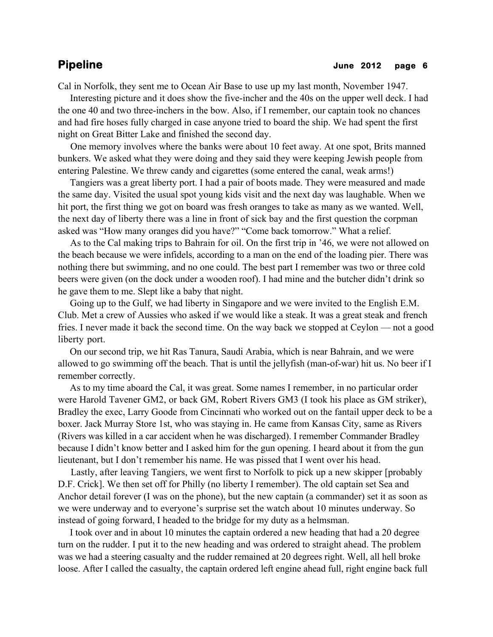Cal in Norfolk, they sent me to Ocean Air Base to use up my last month, November 1947.

 Interesting picture and it does show the five-incher and the 40s on the upper well deck. I had the one 40 and two three-inchers in the bow. Also, if I remember, our captain took no chances and had fire hoses fully charged in case anyone tried to board the ship. We had spent the first night on Great Bitter Lake and finished the second day.

 One memory involves where the banks were about 10 feet away. At one spot, Brits manned bunkers. We asked what they were doing and they said they were keeping Jewish people from entering Palestine. We threw candy and cigarettes (some entered the canal, weak arms!)

 Tangiers was a great liberty port. I had a pair of boots made. They were measured and made the same day. Visited the usual spot young kids visit and the next day was laughable. When we hit port, the first thing we got on board was fresh oranges to take as many as we wanted. Well, the next day of liberty there was a line in front of sick bay and the first question the corpman asked was "How many oranges did you have?" "Come back tomorrow." What a relief.

 As to the Cal making trips to Bahrain for oil. On the first trip in '46, we were not allowed on the beach because we were infidels, according to a man on the end of the loading pier. There was nothing there but swimming, and no one could. The best part I remember was two or three cold beers were given (on the dock under a wooden roof). I had mine and the butcher didn't drink so he gave them to me. Slept like a baby that night.

 Going up to the Gulf, we had liberty in Singapore and we were invited to the English E.M. Club. Met a crew of Aussies who asked if we would like a steak. It was a great steak and french fries. I never made it back the second time. On the way back we stopped at Ceylon — not a good liberty port.

 On our second trip, we hit Ras Tanura, Saudi Arabia, which is near Bahrain, and we were allowed to go swimming off the beach. That is until the jellyfish (man-of-war) hit us. No beer if I remember correctly.

 As to my time aboard the Cal, it was great. Some names I remember, in no particular order were Harold Tavener GM2, or back GM, Robert Rivers GM3 (I took his place as GM striker), Bradley the exec, Larry Goode from Cincinnati who worked out on the fantail upper deck to be a boxer. Jack Murray Store 1st, who was staying in. He came from Kansas City, same as Rivers (Rivers was killed in a car accident when he was discharged). I remember Commander Bradley because I didn't know better and I asked him for the gun opening. I heard about it from the gun lieutenant, but I don't remember his name. He was pissed that I went over his head.

 Lastly, after leaving Tangiers, we went first to Norfolk to pick up a new skipper [probably D.F. Crick]. We then set off for Philly (no liberty I remember). The old captain set Sea and Anchor detail forever (I was on the phone), but the new captain (a commander) set it as soon as we were underway and to everyone's surprise set the watch about 10 minutes underway. So instead of going forward, I headed to the bridge for my duty as a helmsman.

 I took over and in about 10 minutes the captain ordered a new heading that had a 20 degree turn on the rudder. I put it to the new heading and was ordered to straight ahead. The problem was we had a steering casualty and the rudder remained at 20 degrees right. Well, all hell broke loose. After I called the casualty, the captain ordered left engine ahead full, right engine back full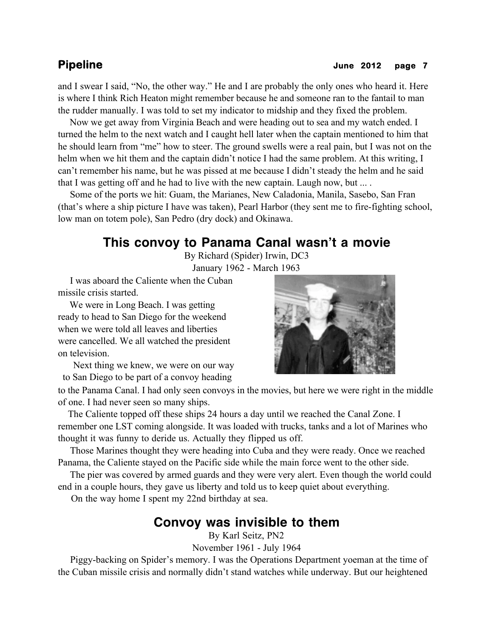### **Pipeline** June 2012 page 7

and I swear I said, "No, the other way." He and I are probably the only ones who heard it. Here is where I think Rich Heaton might remember because he and someone ran to the fantail to man the rudder manually. I was told to set my indicator to midship and they fixed the problem.

 Now we get away from Virginia Beach and were heading out to sea and my watch ended. I turned the helm to the next watch and I caught hell later when the captain mentioned to him that he should learn from "me" how to steer. The ground swells were a real pain, but I was not on the helm when we hit them and the captain didn't notice I had the same problem. At this writing, I can't remember his name, but he was pissed at me because I didn't steady the helm and he said that I was getting off and he had to live with the new captain. Laugh now, but ... .

 Some of the ports we hit: Guam, the Marianes, New Caladonia, Manila, Sasebo, San Fran (that's where a ship picture I have was taken), Pearl Harbor (they sent me to fire-fighting school, low man on totem pole), San Pedro (dry dock) and Okinawa.

## **This convoy to Panama Canal wasn't a movie**

By Richard (Spider) Irwin, DC3 January 1962 - March 1963

 I was aboard the Caliente when the Cuban missile crisis started.

 We were in Long Beach. I was getting ready to head to San Diego for the weekend when we were told all leaves and liberties were cancelled. We all watched the president on television.

 Next thing we knew, we were on our way to San Diego to be part of a convoy heading



to the Panama Canal. I had only seen convoys in the movies, but here we were right in the middle of one. I had never seen so many ships.

 The Caliente topped off these ships 24 hours a day until we reached the Canal Zone. I remember one LST coming alongside. It was loaded with trucks, tanks and a lot of Marines who thought it was funny to deride us. Actually they flipped us off.

 Those Marines thought they were heading into Cuba and they were ready. Once we reached Panama, the Caliente stayed on the Pacific side while the main force went to the other side.

 The pier was covered by armed guards and they were very alert. Even though the world could end in a couple hours, they gave us liberty and told us to keep quiet about everything.

On the way home I spent my 22nd birthday at sea.

### **Convoy was invisible to them**

By Karl Seitz, PN2

November 1961 - July 1964

 Piggy-backing on Spider's memory. I was the Operations Department yoeman at the time of the Cuban missile crisis and normally didn't stand watches while underway. But our heightened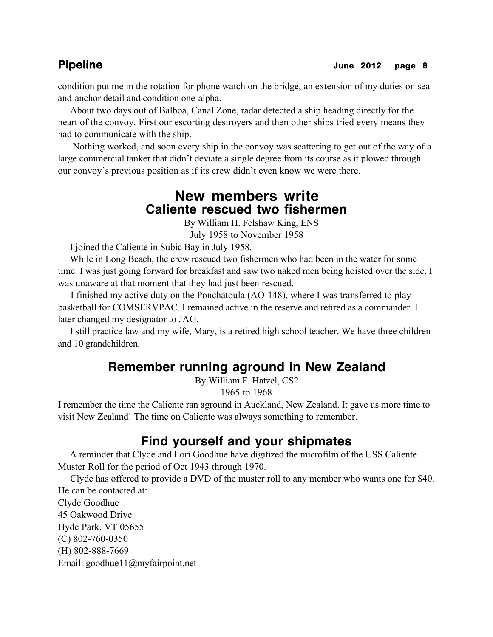condition put me in the rotation for phone watch on the bridge, an extension of my duties on seaand-anchor detail and condition one-alpha.

 About two days out of Balboa, Canal Zone, radar detected a ship heading directly for the heart of the convoy. First our escorting destroyers and then other ships tried every means they had to communicate with the ship.

 Nothing worked, and soon every ship in the convoy was scattering to get out of the way of a large commercial tanker that didn't deviate a single degree from its course as it plowed through our convoy's previous position as if its crew didn't even know we were there.

## **New members write Caliente rescued two fishermen**

By William H. Felshaw King, ENS

July 1958 to November 1958

I joined the Caliente in Subic Bay in July 1958.

 While in Long Beach, the crew rescued two fishermen who had been in the water for some time. I was just going forward for breakfast and saw two naked men being hoisted over the side. I was unaware at that moment that they had just been rescued.

 I finished my active duty on the Ponchatoula (AO-148), where I was transferred to play basketball for COMSERVPAC. I remained active in the reserve and retired as a commander. I later changed my designator to JAG.

 I still practice law and my wife, Mary, is a retired high school teacher. We have three children and 10 grandchildren.

## **Remember running aground in New Zealand**

By William F. Hatzel, CS2

1965 to 1968

I remember the time the Caliente ran aground in Auckland, New Zealand. It gave us more time to visit New Zealand! The time on Caliente was always something to remember.

## **Find yourself and your shipmates**

 A reminder that Clyde and Lori Goodhue have digitized the microfilm of the USS Caliente Muster Roll for the period of Oct 1943 through 1970.

 Clyde has offered to provide a DVD of the muster roll to any member who wants one for \$40. He can be contacted at:

Clyde Goodhue 45 Oakwood Drive Hyde Park, VT 05655 (C) 802-760-0350 (H) 802-888-7669 Email: goodhue11@myfairpoint.net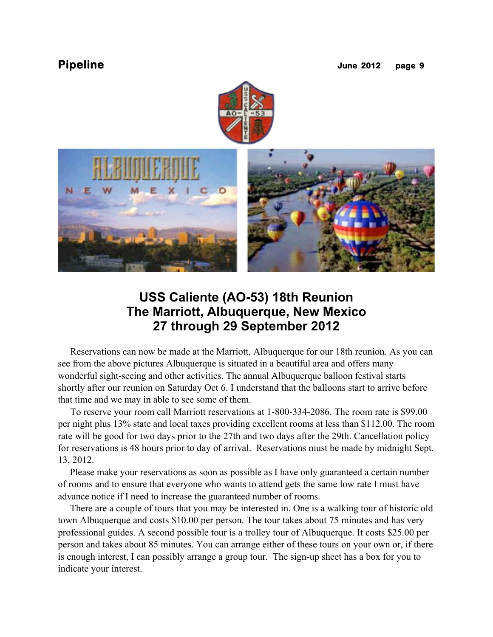



## **USS Caliente (AO-53) 18th Reunion The Marriott, Albuquerque, New Mexico 27 through 29 September 2012**

 Reservations can now be made at the Marriott, Albuquerque for our 18th reunion. As you can see from the above pictures Albuquerque is situated in a beautiful area and offers many wonderful sight-seeing and other activities. The annual Albuquerque balloon festival starts shortly after our reunion on Saturday Oct 6. I understand that the balloons start to arrive before that time and we may in able to see some of them.

 To reserve your room call Marriott reservations at 1-800-334-2086. The room rate is \$99.00 per night plus 13% state and local taxes providing excellent rooms at less than \$112.00. The room rate will be good for two days prior to the 27th and two days after the 29th. Cancellation policy for reservations is 48 hours prior to day of arrival. Reservations must be made by midnight Sept. 13, 2012.

 Please make your reservations as soon as possible as I have only guaranteed a certain number of rooms and to ensure that everyone who wants to attend gets the same low rate I must have advance notice if I need to increase the guaranteed number of rooms.

 There are a couple of tours that you may be interested in. One is a walking tour of historic old town Albuquerque and costs \$10.00 per person. The tour takes about 75 minutes and has very professional guides. A second possible tour is a trolley tour of Albuquerque. It costs \$25.00 per person and takes about 85 minutes. You can arrange either of these tours on your own or, if there is enough interest, I can possibly arrange a group tour. The sign-up sheet has a box for you to indicate your interest.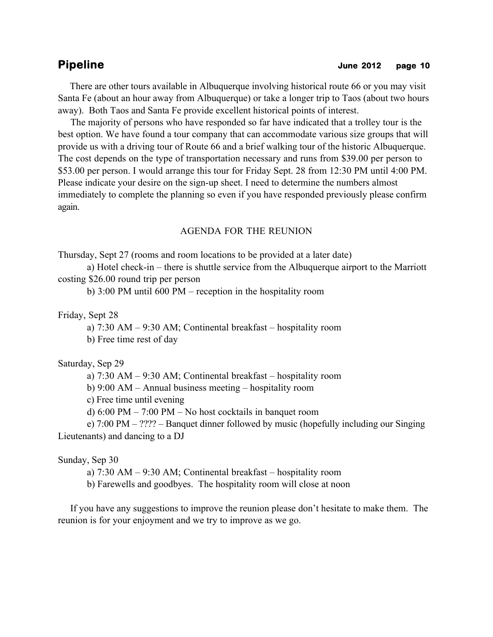There are other tours available in Albuquerque involving historical route 66 or you may visit Santa Fe (about an hour away from Albuquerque) or take a longer trip to Taos (about two hours away). Both Taos and Santa Fe provide excellent historical points of interest.

 The majority of persons who have responded so far have indicated that a trolley tour is the best option. We have found a tour company that can accommodate various size groups that will provide us with a driving tour of Route 66 and a brief walking tour of the historic Albuquerque. The cost depends on the type of transportation necessary and runs from \$39.00 per person to \$53.00 per person. I would arrange this tour for Friday Sept. 28 from 12:30 PM until 4:00 PM. Please indicate your desire on the sign-up sheet. I need to determine the numbers almost immediately to complete the planning so even if you have responded previously please confirm again.

### AGENDA FOR THE REUNION

Thursday, Sept 27 (rooms and room locations to be provided at a later date)

a) Hotel check-in – there is shuttle service from the Albuquerque airport to the Marriott costing \$26.00 round trip per person

b) 3:00 PM until 600 PM – reception in the hospitality room

Friday, Sept 28

a) 7:30 AM – 9:30 AM; Continental breakfast – hospitality room

b) Free time rest of day

Saturday, Sep 29

a) 7:30 AM – 9:30 AM; Continental breakfast – hospitality room

b) 9:00 AM – Annual business meeting – hospitality room

c) Free time until evening

d) 6:00 PM – 7:00 PM – No host cocktails in banquet room

e) 7:00 PM – ???? – Banquet dinner followed by music (hopefully including our Singing Lieutenants) and dancing to a DJ

### Sunday, Sep 30

a) 7:30 AM – 9:30 AM; Continental breakfast – hospitality room

b) Farewells and goodbyes. The hospitality room will close at noon

 If you have any suggestions to improve the reunion please don't hesitate to make them. The reunion is for your enjoyment and we try to improve as we go.